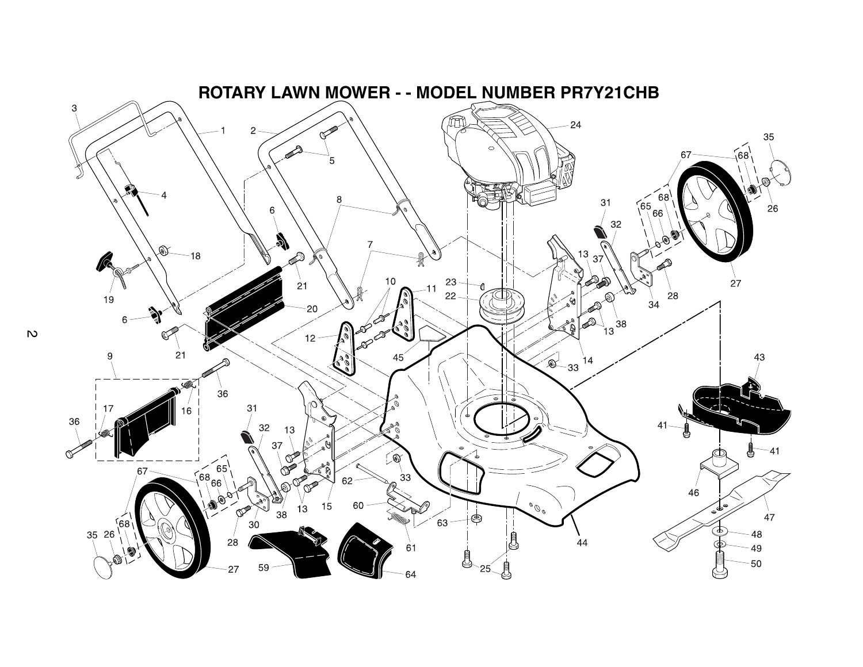

 $\mathbf{v}$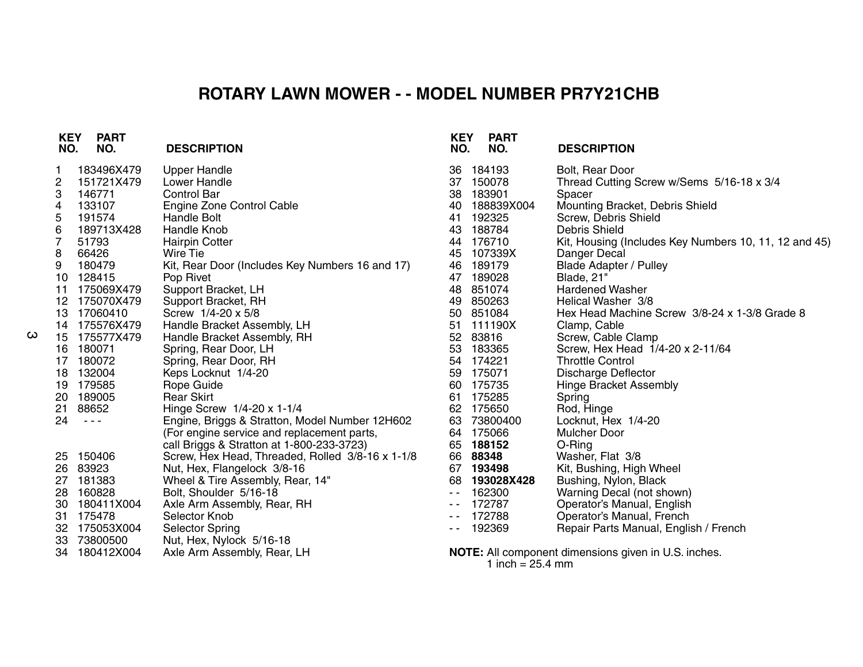## **ROTARY LAWN MOWER - - MODEL NUMBER PR7Y21CHB**

| <b>KEY</b><br>NO. | <b>PART</b><br>NO.   | <b>DESCRIPTION</b>                               | <b>KEY</b><br>NO.                                                                                                                                                                                                                                                                                                                                                                            | <b>PART</b><br>NO. | <b>DESCRIPTION</b>                                    |
|-------------------|----------------------|--------------------------------------------------|----------------------------------------------------------------------------------------------------------------------------------------------------------------------------------------------------------------------------------------------------------------------------------------------------------------------------------------------------------------------------------------------|--------------------|-------------------------------------------------------|
| 1                 | 183496X479           | <b>Upper Handle</b>                              | 36                                                                                                                                                                                                                                                                                                                                                                                           | 184193             | Bolt, Rear Door                                       |
| 2                 | 151721X479           | <b>Lower Handle</b>                              |                                                                                                                                                                                                                                                                                                                                                                                              | 37 150078          | Thread Cutting Screw w/Sems 5/16-18 x 3/4             |
| 3                 | 146771               | Control Bar                                      | 38                                                                                                                                                                                                                                                                                                                                                                                           | 183901             | Spacer                                                |
| 4                 | 133107               | Engine Zone Control Cable                        | 40                                                                                                                                                                                                                                                                                                                                                                                           | 188839X004         | Mounting Bracket, Debris Shield                       |
| 5                 | 191574               | Handle Bolt                                      | 41                                                                                                                                                                                                                                                                                                                                                                                           | 192325             | Screw, Debris Shield                                  |
| 6                 | 189713X428           | Handle Knob                                      | 43                                                                                                                                                                                                                                                                                                                                                                                           | 188784             | <b>Debris Shield</b>                                  |
| 7                 | 51793                | <b>Hairpin Cotter</b>                            |                                                                                                                                                                                                                                                                                                                                                                                              | 44 176710          | Kit, Housing (Includes Key Numbers 10, 11, 12 and 45) |
| 8                 | 66426                | Wire Tie                                         | 45                                                                                                                                                                                                                                                                                                                                                                                           | 107339X            | Danger Decal                                          |
| 9                 | 180479               | Kit, Rear Door (Includes Key Numbers 16 and 17)  | 46                                                                                                                                                                                                                                                                                                                                                                                           | 189179             | <b>Blade Adapter / Pulley</b>                         |
|                   | 10 128415            | Pop Rivet                                        | 47                                                                                                                                                                                                                                                                                                                                                                                           | 189028             | Blade, 21"                                            |
| 11                | 175069X479           | Support Bracket, LH                              | 48                                                                                                                                                                                                                                                                                                                                                                                           | 851074             | <b>Hardened Washer</b>                                |
|                   | 12 175070X479        | Support Bracket, RH                              | 49                                                                                                                                                                                                                                                                                                                                                                                           | 850263             | Helical Washer 3/8                                    |
|                   | 13 17060410          | Screw 1/4-20 x 5/8                               | 50                                                                                                                                                                                                                                                                                                                                                                                           | 851084             | Hex Head Machine Screw 3/8-24 x 1-3/8 Grade 8         |
|                   | 14 175576X479        | Handle Bracket Assembly, LH                      | 51                                                                                                                                                                                                                                                                                                                                                                                           | 111190X            | Clamp, Cable                                          |
|                   | 15 175577X479        | Handle Bracket Assembly, RH                      |                                                                                                                                                                                                                                                                                                                                                                                              | 52 83816           | Screw, Cable Clamp                                    |
|                   | 16 180071            | Spring, Rear Door, LH                            | 53                                                                                                                                                                                                                                                                                                                                                                                           | 183365             | Screw, Hex Head 1/4-20 x 2-11/64                      |
|                   | 17 180072            | Spring, Rear Door, RH                            |                                                                                                                                                                                                                                                                                                                                                                                              | 54 174221          | <b>Throttle Control</b>                               |
|                   | 18 132004            | Keps Locknut 1/4-20                              |                                                                                                                                                                                                                                                                                                                                                                                              | 59 175071          | <b>Discharge Deflector</b>                            |
|                   | 19 179585            | Rope Guide                                       |                                                                                                                                                                                                                                                                                                                                                                                              | 60 175735          | <b>Hinge Bracket Assembly</b>                         |
|                   | 20 189005            | <b>Rear Skirt</b>                                | 61                                                                                                                                                                                                                                                                                                                                                                                           | 175285             | Spring                                                |
| 21                | 88652                | Hinge Screw 1/4-20 x 1-1/4                       |                                                                                                                                                                                                                                                                                                                                                                                              | 62 175650          | Rod, Hinge                                            |
| 24                | $\sim$ $\sim$ $\sim$ | Engine, Briggs & Stratton, Model Number 12H602   | 63                                                                                                                                                                                                                                                                                                                                                                                           | 73800400           | Locknut, Hex 1/4-20                                   |
|                   |                      | (For engine service and replacement parts,       |                                                                                                                                                                                                                                                                                                                                                                                              | 64 175066          | Mulcher Door                                          |
|                   |                      | call Briggs & Stratton at 1-800-233-3723)        |                                                                                                                                                                                                                                                                                                                                                                                              | 65 188152          | O-Ring                                                |
|                   | 25 150406            | Screw, Hex Head, Threaded, Rolled 3/8-16 x 1-1/8 |                                                                                                                                                                                                                                                                                                                                                                                              | 66 88348           | Washer, Flat 3/8                                      |
|                   | 26 83923             | Nut, Hex, Flangelock 3/8-16                      |                                                                                                                                                                                                                                                                                                                                                                                              | 67 193498          | Kit, Bushing, High Wheel                              |
|                   | 27 181383            | Wheel & Tire Assembly, Rear, 14"                 |                                                                                                                                                                                                                                                                                                                                                                                              | 68 193028X428      | Bushing, Nylon, Black                                 |
|                   | 28 160828            | Bolt, Shoulder 5/16-18                           | $\frac{1}{2} \frac{1}{2} \frac{1}{2} \frac{1}{2} \frac{1}{2} \frac{1}{2} \frac{1}{2} \frac{1}{2} \frac{1}{2} \frac{1}{2} \frac{1}{2} \frac{1}{2} \frac{1}{2} \frac{1}{2} \frac{1}{2} \frac{1}{2} \frac{1}{2} \frac{1}{2} \frac{1}{2} \frac{1}{2} \frac{1}{2} \frac{1}{2} \frac{1}{2} \frac{1}{2} \frac{1}{2} \frac{1}{2} \frac{1}{2} \frac{1}{2} \frac{1}{2} \frac{1}{2} \frac{1}{2} \frac{$ | 162300             | Warning Decal (not shown)                             |
|                   | 30 180411X004        | Axle Arm Assembly, Rear, RH                      | $\sim$ $-$                                                                                                                                                                                                                                                                                                                                                                                   | 172787             | Operator's Manual, English                            |
|                   | 31 175478            | Selector Knob                                    | $\sim$                                                                                                                                                                                                                                                                                                                                                                                       | 172788             | Operator's Manual, French                             |
| 32                | 175053X004           | <b>Selector Spring</b>                           | - -                                                                                                                                                                                                                                                                                                                                                                                          | 192369             | Repair Parts Manual, English / French                 |
| 33                | 73800500             | Nut, Hex, Nylock 5/16-18                         |                                                                                                                                                                                                                                                                                                                                                                                              |                    |                                                       |
|                   | 34 180412X004        | Axle Arm Assembly, Rear, LH                      |                                                                                                                                                                                                                                                                                                                                                                                              |                    | NOTE: All component dimensions given in U.S. inches.  |
|                   |                      |                                                  |                                                                                                                                                                                                                                                                                                                                                                                              | 1 inch = $25.4$ mm |                                                       |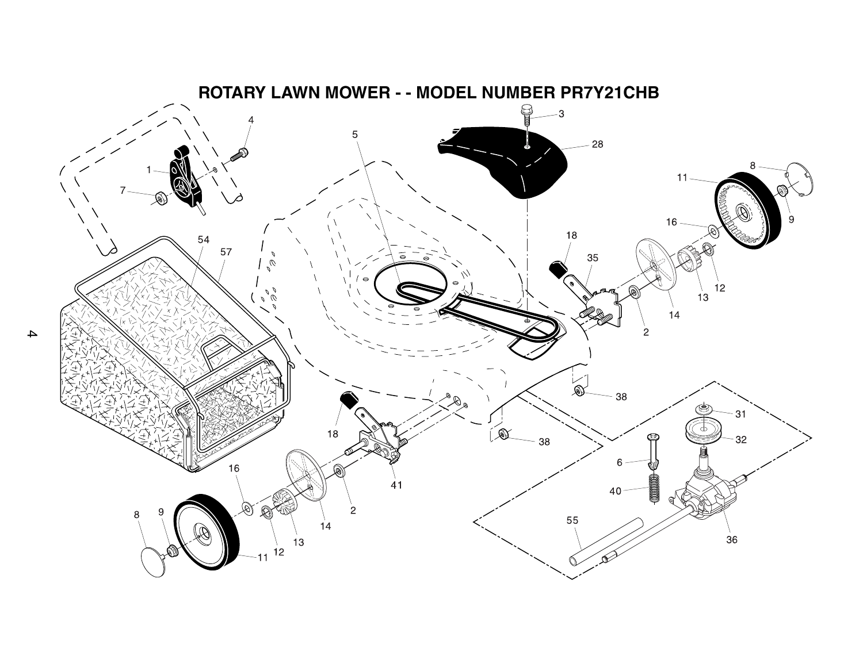

4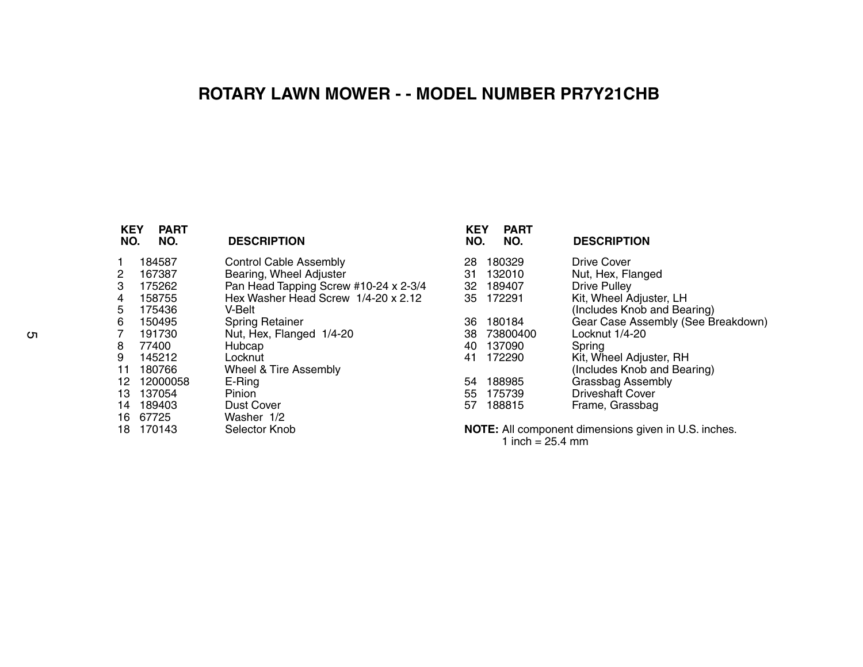## **ROTARY LAWN MOWER - - MODEL NUMBER PR7Y21CHB**

| <b>KEY</b><br>NO. | <b>PART</b><br>NO. | <b>DESCRIPTION</b>                    | <b>KEY</b><br>NO. | <b>PART</b><br>NO. | <b>DESCRIPTION</b>                                          |
|-------------------|--------------------|---------------------------------------|-------------------|--------------------|-------------------------------------------------------------|
| 1                 | 184587             | <b>Control Cable Assembly</b>         | 28                | 180329             | Drive Cover                                                 |
| 2                 | 167387             | Bearing, Wheel Adjuster               | 31                | 132010             | Nut, Hex, Flanged                                           |
| 3                 | 175262             | Pan Head Tapping Screw #10-24 x 2-3/4 | 32                | 189407             | <b>Drive Pulley</b>                                         |
| 4                 | 158755             | Hex Washer Head Screw 1/4-20 x 2.12   | 35                | 172291             | Kit, Wheel Adjuster, LH                                     |
| 5.                | 175436             | V-Belt                                |                   |                    | (Includes Knob and Bearing)                                 |
| 6                 | 150495             | <b>Spring Retainer</b>                | 36                | 180184             | Gear Case Assembly (See Breakdown)                          |
| 7                 | 191730             | Nut, Hex, Flanged 1/4-20              | 38                | 73800400           | Locknut 1/4-20                                              |
| 8                 | 77400              | Hubcap                                | 40                | 137090             | Spring                                                      |
| 9                 | 145212             | Locknut                               | 41                | 172290             | Kit, Wheel Adjuster, RH                                     |
| 11                | 180766             | Wheel & Tire Assembly                 |                   |                    | (Includes Knob and Bearing)                                 |
| 12.               | 12000058           | $E$ -Ring                             | 54                | 188985             | Grassbag Assembly                                           |
| 13.               | 137054             | <b>Pinion</b>                         | 55                | 175739             | <b>Driveshaft Cover</b>                                     |
| 14                | 189403             | <b>Dust Cover</b>                     | 57                | 188815             | Frame, Grassbag                                             |
| 16.               | 67725              | Washer 1/2                            |                   |                    |                                                             |
| 18.               | 170143             | Selector Knob                         |                   |                    | <b>NOTE:</b> All component dimensions given in U.S. inches. |

**NOTE:** All component dimensions given in U.S. inches. 1 inch =  $25.4 \text{ mm}$